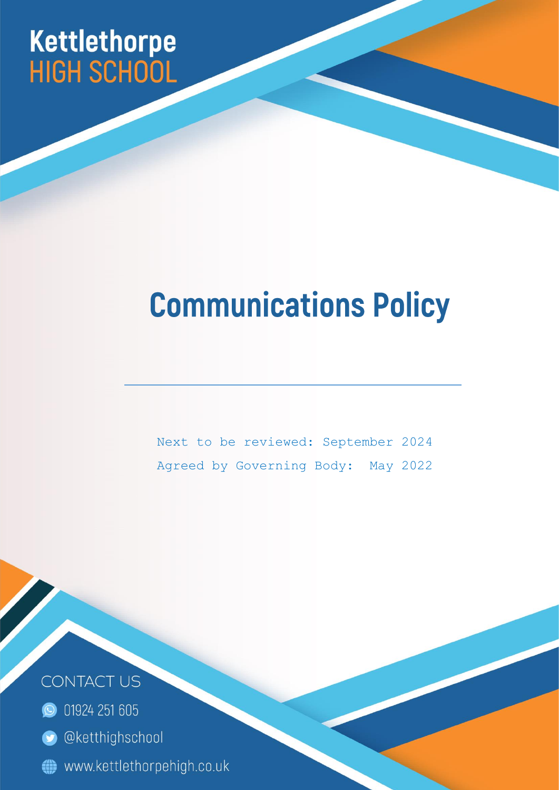# Kettlethorpe<br>HIGH SCHOOL

# **Communications Policy**

Next to be reviewed: September 2024 Agreed by Governing Body: May 2022

Page | 1



- **O** 01924 251 605
- **O** @ketthighschool
- www.kettlethorpehigh.co.uk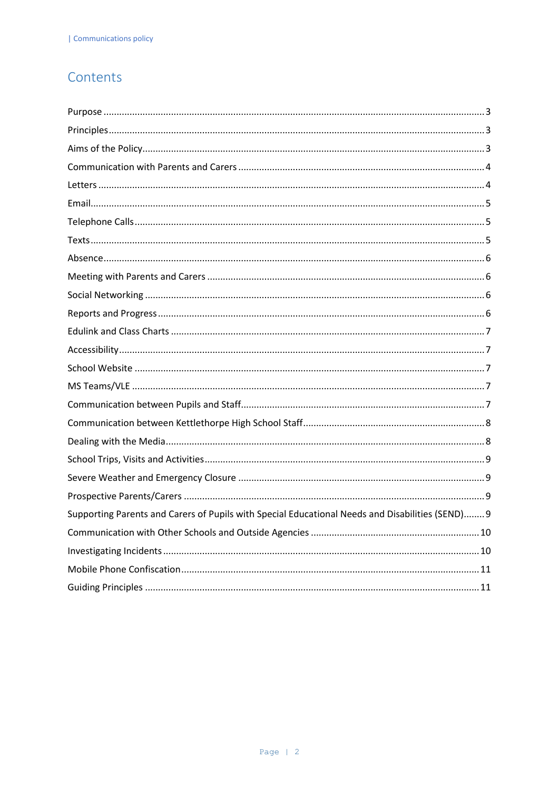# Contents

| Supporting Parents and Carers of Pupils with Special Educational Needs and Disabilities (SEND) 9 |
|--------------------------------------------------------------------------------------------------|
|                                                                                                  |
|                                                                                                  |
|                                                                                                  |
|                                                                                                  |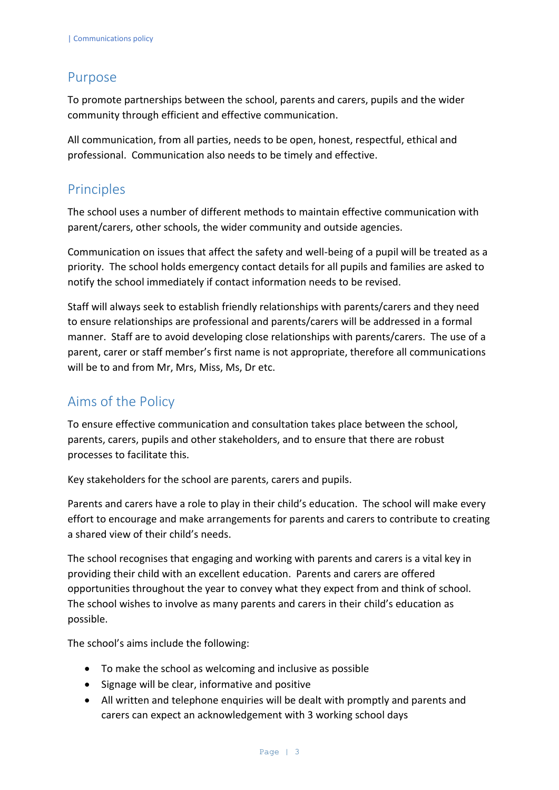#### <span id="page-2-0"></span>Purpose

To promote partnerships between the school, parents and carers, pupils and the wider community through efficient and effective communication.

All communication, from all parties, needs to be open, honest, respectful, ethical and professional. Communication also needs to be timely and effective.

# <span id="page-2-1"></span>Principles

The school uses a number of different methods to maintain effective communication with parent/carers, other schools, the wider community and outside agencies.

Communication on issues that affect the safety and well-being of a pupil will be treated as a priority. The school holds emergency contact details for all pupils and families are asked to notify the school immediately if contact information needs to be revised.

Staff will always seek to establish friendly relationships with parents/carers and they need to ensure relationships are professional and parents/carers will be addressed in a formal manner. Staff are to avoid developing close relationships with parents/carers. The use of a parent, carer or staff member's first name is not appropriate, therefore all communications will be to and from Mr, Mrs, Miss, Ms, Dr etc.

# <span id="page-2-2"></span>Aims of the Policy

To ensure effective communication and consultation takes place between the school, parents, carers, pupils and other stakeholders, and to ensure that there are robust processes to facilitate this.

Key stakeholders for the school are parents, carers and pupils.

Parents and carers have a role to play in their child's education. The school will make every effort to encourage and make arrangements for parents and carers to contribute to creating a shared view of their child's needs.

The school recognises that engaging and working with parents and carers is a vital key in providing their child with an excellent education. Parents and carers are offered opportunities throughout the year to convey what they expect from and think of school. The school wishes to involve as many parents and carers in their child's education as possible.

The school's aims include the following:

- To make the school as welcoming and inclusive as possible
- Signage will be clear, informative and positive
- All written and telephone enquiries will be dealt with promptly and parents and carers can expect an acknowledgement with 3 working school days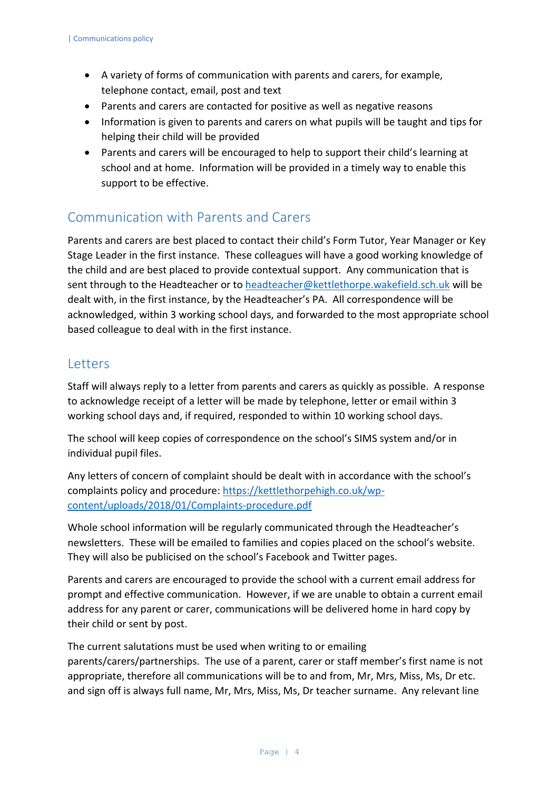- A variety of forms of communication with parents and carers, for example, telephone contact, email, post and text
- Parents and carers are contacted for positive as well as negative reasons
- Information is given to parents and carers on what pupils will be taught and tips for helping their child will be provided
- Parents and carers will be encouraged to help to support their child's learning at school and at home. Information will be provided in a timely way to enable this support to be effective.

#### <span id="page-3-0"></span>Communication with Parents and Carers

Parents and carers are best placed to contact their child's Form Tutor, Year Manager or Key Stage Leader in the first instance. These colleagues will have a good working knowledge of the child and are best placed to provide contextual support. Any communication that is sent through to the Headteacher or to [headteacher@kettlethorpe.wakefield.sch.uk](mailto:headteacher@kettlethorpe.wakefield.sch.uk) will be dealt with, in the first instance, by the Headteacher's PA. All correspondence will be acknowledged, within 3 working school days, and forwarded to the most appropriate school based colleague to deal with in the first instance.

#### <span id="page-3-1"></span>Letters

Staff will always reply to a letter from parents and carers as quickly as possible. A response to acknowledge receipt of a letter will be made by telephone, letter or email within 3 working school days and, if required, responded to within 10 working school days.

The school will keep copies of correspondence on the school's SIMS system and/or in individual pupil files.

Any letters of concern of complaint should be dealt with in accordance with the school's complaints policy and procedure: [https://kettlethorpehigh.co.uk/wp](https://kettlethorpehigh.co.uk/wp-content/uploads/2018/01/Complaints-procedure.pdf)[content/uploads/2018/01/Complaints-procedure.pdf](https://kettlethorpehigh.co.uk/wp-content/uploads/2018/01/Complaints-procedure.pdf)

Whole school information will be regularly communicated through the Headteacher's newsletters. These will be emailed to families and copies placed on the school's website. They will also be publicised on the school's Facebook and Twitter pages.

Parents and carers are encouraged to provide the school with a current email address for prompt and effective communication. However, if we are unable to obtain a current email address for any parent or carer, communications will be delivered home in hard copy by their child or sent by post.

The current salutations must be used when writing to or emailing parents/carers/partnerships. The use of a parent, carer or staff member's first name is not appropriate, therefore all communications will be to and from, Mr, Mrs, Miss, Ms, Dr etc. and sign off is always full name, Mr, Mrs, Miss, Ms, Dr teacher surname. Any relevant line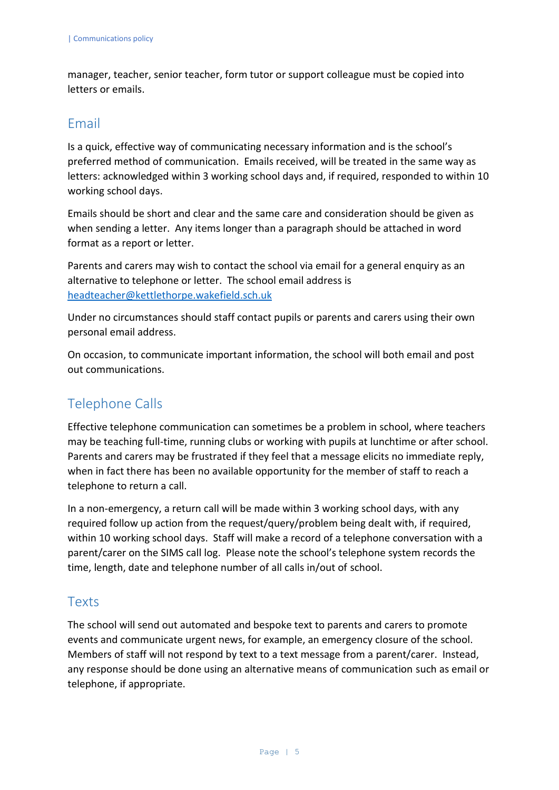manager, teacher, senior teacher, form tutor or support colleague must be copied into letters or emails.

#### <span id="page-4-0"></span>Email

Is a quick, effective way of communicating necessary information and is the school's preferred method of communication. Emails received, will be treated in the same way as letters: acknowledged within 3 working school days and, if required, responded to within 10 working school days.

Emails should be short and clear and the same care and consideration should be given as when sending a letter. Any items longer than a paragraph should be attached in word format as a report or letter.

Parents and carers may wish to contact the school via email for a general enquiry as an alternative to telephone or letter. The school email address is [headteacher@kettlethorpe.wakefield.sch.uk](mailto:headteacher@kettlethorpe.wakefield.sch.uk)

Under no circumstances should staff contact pupils or parents and carers using their own personal email address.

On occasion, to communicate important information, the school will both email and post out communications.

# <span id="page-4-1"></span>Telephone Calls

Effective telephone communication can sometimes be a problem in school, where teachers may be teaching full-time, running clubs or working with pupils at lunchtime or after school. Parents and carers may be frustrated if they feel that a message elicits no immediate reply, when in fact there has been no available opportunity for the member of staff to reach a telephone to return a call.

In a non-emergency, a return call will be made within 3 working school days, with any required follow up action from the request/query/problem being dealt with, if required, within 10 working school days. Staff will make a record of a telephone conversation with a parent/carer on the SIMS call log. Please note the school's telephone system records the time, length, date and telephone number of all calls in/out of school.

#### <span id="page-4-2"></span>Texts

The school will send out automated and bespoke text to parents and carers to promote events and communicate urgent news, for example, an emergency closure of the school. Members of staff will not respond by text to a text message from a parent/carer. Instead, any response should be done using an alternative means of communication such as email or telephone, if appropriate.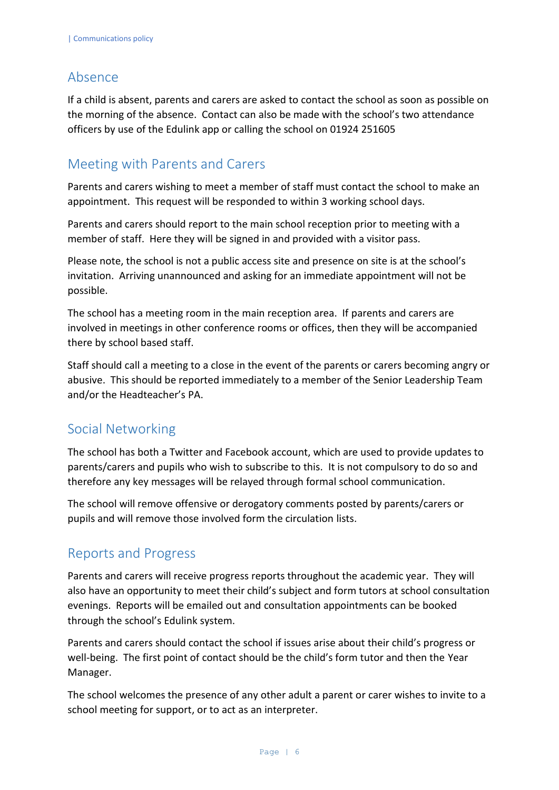#### <span id="page-5-0"></span>Absence

If a child is absent, parents and carers are asked to contact the school as soon as possible on the morning of the absence. Contact can also be made with the school's two attendance officers by use of the Edulink app or calling the school on 01924 251605

# <span id="page-5-1"></span>Meeting with Parents and Carers

Parents and carers wishing to meet a member of staff must contact the school to make an appointment. This request will be responded to within 3 working school days.

Parents and carers should report to the main school reception prior to meeting with a member of staff. Here they will be signed in and provided with a visitor pass.

Please note, the school is not a public access site and presence on site is at the school's invitation. Arriving unannounced and asking for an immediate appointment will not be possible.

The school has a meeting room in the main reception area. If parents and carers are involved in meetings in other conference rooms or offices, then they will be accompanied there by school based staff.

Staff should call a meeting to a close in the event of the parents or carers becoming angry or abusive. This should be reported immediately to a member of the Senior Leadership Team and/or the Headteacher's PA.

#### <span id="page-5-2"></span>Social Networking

The school has both a Twitter and Facebook account, which are used to provide updates to parents/carers and pupils who wish to subscribe to this. It is not compulsory to do so and therefore any key messages will be relayed through formal school communication.

The school will remove offensive or derogatory comments posted by parents/carers or pupils and will remove those involved form the circulation lists.

# <span id="page-5-3"></span>Reports and Progress

Parents and carers will receive progress reports throughout the academic year. They will also have an opportunity to meet their child's subject and form tutors at school consultation evenings. Reports will be emailed out and consultation appointments can be booked through the school's Edulink system.

Parents and carers should contact the school if issues arise about their child's progress or well-being. The first point of contact should be the child's form tutor and then the Year Manager.

The school welcomes the presence of any other adult a parent or carer wishes to invite to a school meeting for support, or to act as an interpreter.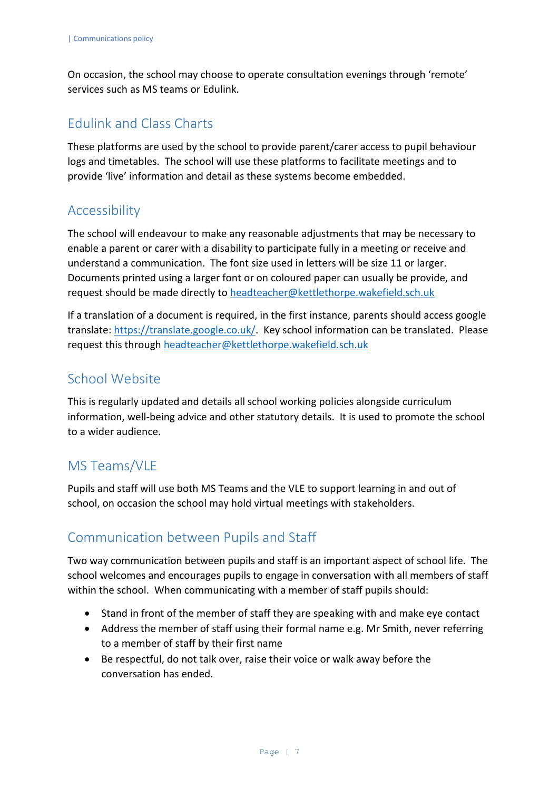On occasion, the school may choose to operate consultation evenings through 'remote' services such as MS teams or Edulink.

# <span id="page-6-0"></span>Edulink and Class Charts

These platforms are used by the school to provide parent/carer access to pupil behaviour logs and timetables. The school will use these platforms to facilitate meetings and to provide 'live' information and detail as these systems become embedded.

#### <span id="page-6-1"></span>Accessibility

The school will endeavour to make any reasonable adjustments that may be necessary to enable a parent or carer with a disability to participate fully in a meeting or receive and understand a communication. The font size used in letters will be size 11 or larger. Documents printed using a larger font or on coloured paper can usually be provide, and request should be made directly to [headteacher@kettlethorpe.wakefield.sch.uk](mailto:headteacher@kettlethorpe.wakefield.sch.uk)

If a translation of a document is required, in the first instance, parents should access google translate: [https://translate.google.co.uk/.](https://translate.google.co.uk/) Key school information can be translated. Please request this through [headteacher@kettlethorpe.wakefield.sch.uk](mailto:headteacher@kettlethorpe.wakefield.sch.uk)

# <span id="page-6-2"></span>School Website

This is regularly updated and details all school working policies alongside curriculum information, well-being advice and other statutory details. It is used to promote the school to a wider audience.

# <span id="page-6-3"></span>MS Teams/VLE

Pupils and staff will use both MS Teams and the VLE to support learning in and out of school, on occasion the school may hold virtual meetings with stakeholders.

# <span id="page-6-4"></span>Communication between Pupils and Staff

Two way communication between pupils and staff is an important aspect of school life. The school welcomes and encourages pupils to engage in conversation with all members of staff within the school. When communicating with a member of staff pupils should:

- Stand in front of the member of staff they are speaking with and make eye contact
- Address the member of staff using their formal name e.g. Mr Smith, never referring to a member of staff by their first name
- Be respectful, do not talk over, raise their voice or walk away before the conversation has ended.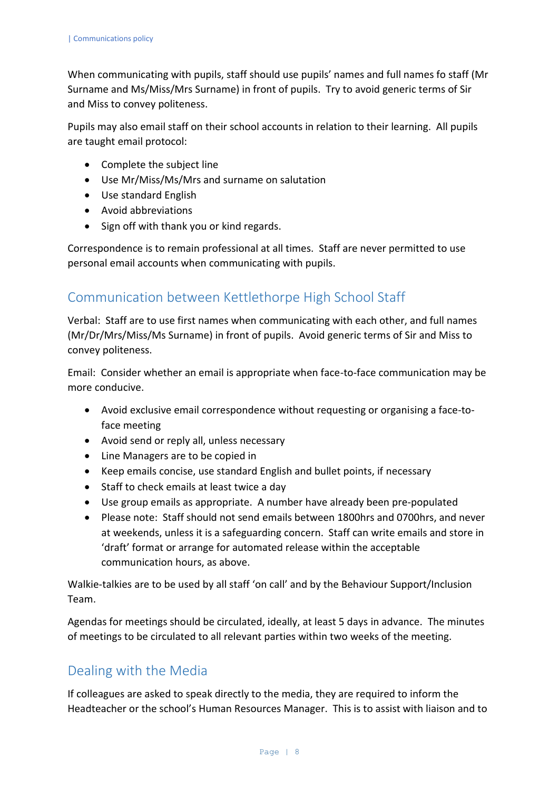When communicating with pupils, staff should use pupils' names and full names fo staff (Mr Surname and Ms/Miss/Mrs Surname) in front of pupils. Try to avoid generic terms of Sir and Miss to convey politeness.

Pupils may also email staff on their school accounts in relation to their learning. All pupils are taught email protocol:

- Complete the subject line
- Use Mr/Miss/Ms/Mrs and surname on salutation
- Use standard English
- Avoid abbreviations
- Sign off with thank you or kind regards.

Correspondence is to remain professional at all times. Staff are never permitted to use personal email accounts when communicating with pupils.

#### <span id="page-7-0"></span>Communication between Kettlethorpe High School Staff

Verbal: Staff are to use first names when communicating with each other, and full names (Mr/Dr/Mrs/Miss/Ms Surname) in front of pupils. Avoid generic terms of Sir and Miss to convey politeness.

Email: Consider whether an email is appropriate when face-to-face communication may be more conducive.

- Avoid exclusive email correspondence without requesting or organising a face-toface meeting
- Avoid send or reply all, unless necessary
- Line Managers are to be copied in
- Keep emails concise, use standard English and bullet points, if necessary
- Staff to check emails at least twice a day
- Use group emails as appropriate. A number have already been pre-populated
- Please note: Staff should not send emails between 1800hrs and 0700hrs, and never at weekends, unless it is a safeguarding concern. Staff can write emails and store in 'draft' format or arrange for automated release within the acceptable communication hours, as above.

Walkie-talkies are to be used by all staff 'on call' and by the Behaviour Support/Inclusion Team.

Agendas for meetings should be circulated, ideally, at least 5 days in advance. The minutes of meetings to be circulated to all relevant parties within two weeks of the meeting.

# <span id="page-7-1"></span>Dealing with the Media

If colleagues are asked to speak directly to the media, they are required to inform the Headteacher or the school's Human Resources Manager. This is to assist with liaison and to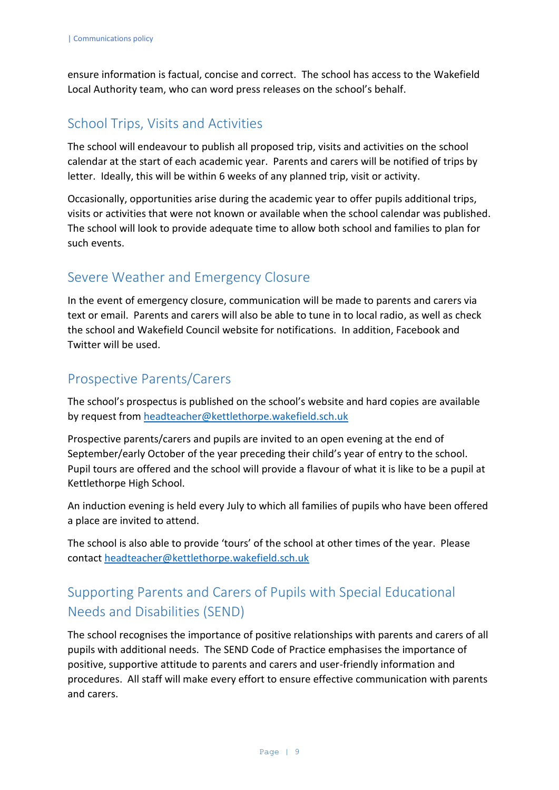ensure information is factual, concise and correct. The school has access to the Wakefield Local Authority team, who can word press releases on the school's behalf.

# <span id="page-8-0"></span>School Trips, Visits and Activities

The school will endeavour to publish all proposed trip, visits and activities on the school calendar at the start of each academic year. Parents and carers will be notified of trips by letter. Ideally, this will be within 6 weeks of any planned trip, visit or activity.

Occasionally, opportunities arise during the academic year to offer pupils additional trips, visits or activities that were not known or available when the school calendar was published. The school will look to provide adequate time to allow both school and families to plan for such events.

# <span id="page-8-1"></span>Severe Weather and Emergency Closure

In the event of emergency closure, communication will be made to parents and carers via text or email. Parents and carers will also be able to tune in to local radio, as well as check the school and Wakefield Council website for notifications. In addition, Facebook and Twitter will be used.

# <span id="page-8-2"></span>Prospective Parents/Carers

The school's prospectus is published on the school's website and hard copies are available by request from [headteacher@kettlethorpe.wakefield.sch.uk](mailto:headteacher@kettlethorpe.wakefield.sch.uk)

Prospective parents/carers and pupils are invited to an open evening at the end of September/early October of the year preceding their child's year of entry to the school. Pupil tours are offered and the school will provide a flavour of what it is like to be a pupil at Kettlethorpe High School.

An induction evening is held every July to which all families of pupils who have been offered a place are invited to attend.

The school is also able to provide 'tours' of the school at other times of the year. Please contact [headteacher@kettlethorpe.wakefield.sch.uk](mailto:headteacher@kettlethorpe.wakefield.sch.uk)

# <span id="page-8-3"></span>Supporting Parents and Carers of Pupils with Special Educational Needs and Disabilities (SEND)

The school recognises the importance of positive relationships with parents and carers of all pupils with additional needs. The SEND Code of Practice emphasises the importance of positive, supportive attitude to parents and carers and user-friendly information and procedures. All staff will make every effort to ensure effective communication with parents and carers.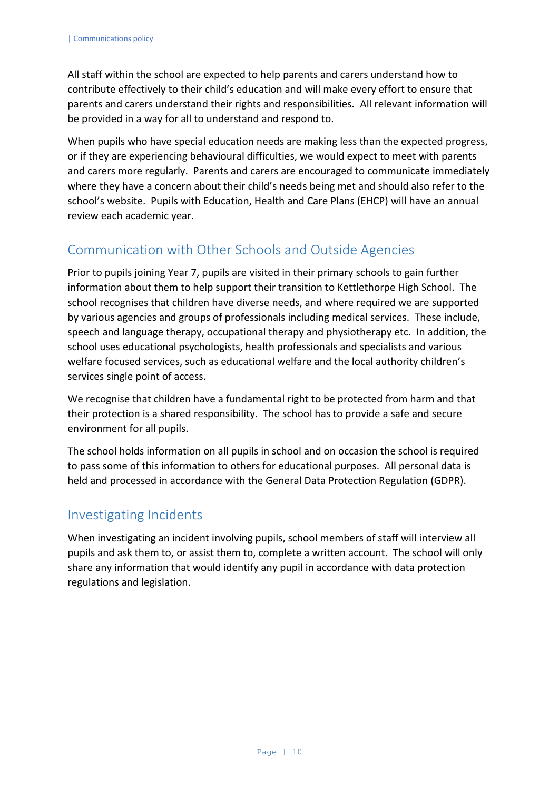All staff within the school are expected to help parents and carers understand how to contribute effectively to their child's education and will make every effort to ensure that parents and carers understand their rights and responsibilities. All relevant information will be provided in a way for all to understand and respond to.

When pupils who have special education needs are making less than the expected progress, or if they are experiencing behavioural difficulties, we would expect to meet with parents and carers more regularly. Parents and carers are encouraged to communicate immediately where they have a concern about their child's needs being met and should also refer to the school's website. Pupils with Education, Health and Care Plans (EHCP) will have an annual review each academic year.

# <span id="page-9-0"></span>Communication with Other Schools and Outside Agencies

Prior to pupils joining Year 7, pupils are visited in their primary schools to gain further information about them to help support their transition to Kettlethorpe High School. The school recognises that children have diverse needs, and where required we are supported by various agencies and groups of professionals including medical services. These include, speech and language therapy, occupational therapy and physiotherapy etc. In addition, the school uses educational psychologists, health professionals and specialists and various welfare focused services, such as educational welfare and the local authority children's services single point of access.

We recognise that children have a fundamental right to be protected from harm and that their protection is a shared responsibility. The school has to provide a safe and secure environment for all pupils.

The school holds information on all pupils in school and on occasion the school is required to pass some of this information to others for educational purposes. All personal data is held and processed in accordance with the General Data Protection Regulation (GDPR).

#### <span id="page-9-1"></span>Investigating Incidents

<span id="page-9-2"></span>When investigating an incident involving pupils, school members of staff will interview all pupils and ask them to, or assist them to, complete a written account. The school will only share any information that would identify any pupil in accordance with data protection regulations and legislation.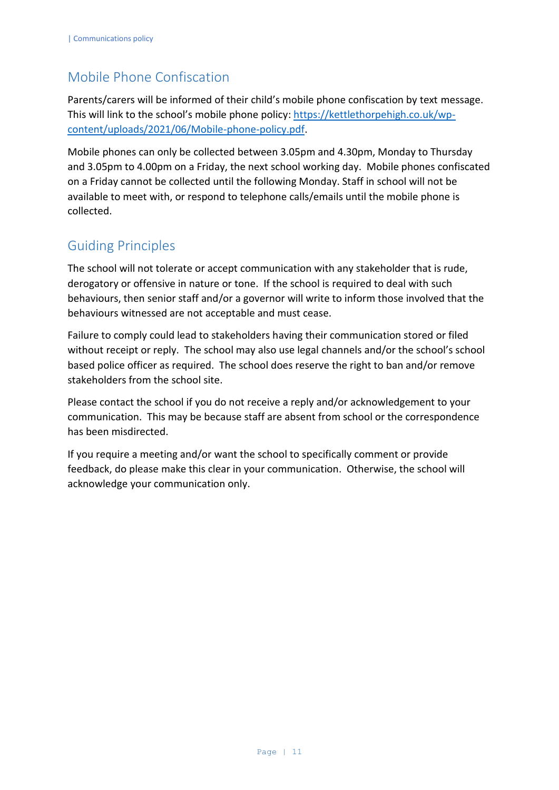# Mobile Phone Confiscation

Parents/carers will be informed of their child's mobile phone confiscation by text message. This will link to the school's mobile phone policy: [https://kettlethorpehigh.co.uk/wp](https://kettlethorpehigh.co.uk/wp-content/uploads/2021/06/Mobile-phone-policy.pdf)[content/uploads/2021/06/Mobile-phone-policy.pdf.](https://kettlethorpehigh.co.uk/wp-content/uploads/2021/06/Mobile-phone-policy.pdf)

Mobile phones can only be collected between 3.05pm and 4.30pm, Monday to Thursday and 3.05pm to 4.00pm on a Friday, the next school working day. Mobile phones confiscated on a Friday cannot be collected until the following Monday. Staff in school will not be available to meet with, or respond to telephone calls/emails until the mobile phone is collected.

# <span id="page-10-0"></span>Guiding Principles

The school will not tolerate or accept communication with any stakeholder that is rude, derogatory or offensive in nature or tone. If the school is required to deal with such behaviours, then senior staff and/or a governor will write to inform those involved that the behaviours witnessed are not acceptable and must cease.

Failure to comply could lead to stakeholders having their communication stored or filed without receipt or reply. The school may also use legal channels and/or the school's school based police officer as required. The school does reserve the right to ban and/or remove stakeholders from the school site.

Please contact the school if you do not receive a reply and/or acknowledgement to your communication. This may be because staff are absent from school or the correspondence has been misdirected.

If you require a meeting and/or want the school to specifically comment or provide feedback, do please make this clear in your communication. Otherwise, the school will acknowledge your communication only.